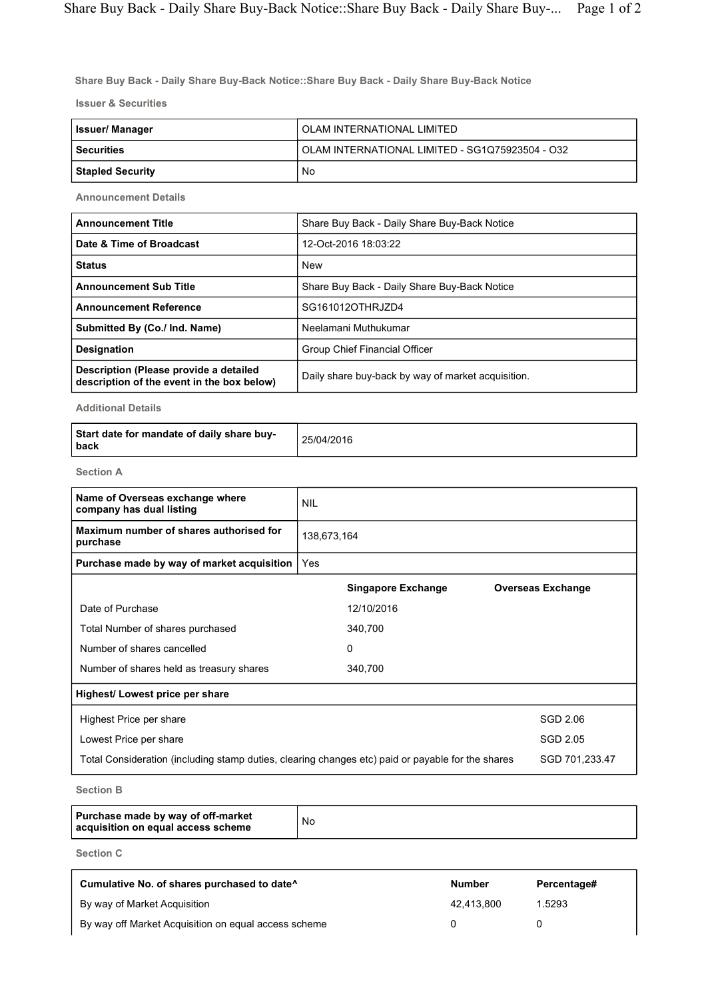Share Buy Back - Daily Share Buy-Back Notice::Share Buy Back - Daily Share Buy-Back Notice

Issuer & Securities

| Issuer/ Manager         | OLAM INTERNATIONAL LIMITED                      |
|-------------------------|-------------------------------------------------|
| <b>Securities</b>       | OLAM INTERNATIONAL LIMITED - SG1Q75923504 - O32 |
| <b>Stapled Security</b> | No                                              |

Announcement Details

| <b>Announcement Title</b>                                                            | Share Buy Back - Daily Share Buy-Back Notice       |
|--------------------------------------------------------------------------------------|----------------------------------------------------|
| Date & Time of Broadcast                                                             | 12-Oct-2016 18:03:22                               |
| <b>Status</b>                                                                        | <b>New</b>                                         |
| <b>Announcement Sub Title</b>                                                        | Share Buy Back - Daily Share Buy-Back Notice       |
| <b>Announcement Reference</b>                                                        | SG161012OTHRJZD4                                   |
| Submitted By (Co./ Ind. Name)                                                        | Neelamani Muthukumar                               |
| <b>Designation</b>                                                                   | Group Chief Financial Officer                      |
| Description (Please provide a detailed<br>description of the event in the box below) | Daily share buy-back by way of market acquisition. |

Additional Details

| Start date for mandate of daily share buy-<br>l back | 25/04/2016 |
|------------------------------------------------------|------------|
|------------------------------------------------------|------------|

Section A

| Name of Overseas exchange where<br>company has dual listing | <b>NIL</b>                                                                                                          |                           |  |                          |
|-------------------------------------------------------------|---------------------------------------------------------------------------------------------------------------------|---------------------------|--|--------------------------|
| Maximum number of shares authorised for<br>purchase         | 138,673,164                                                                                                         |                           |  |                          |
| Purchase made by way of market acquisition                  | Yes                                                                                                                 |                           |  |                          |
|                                                             |                                                                                                                     | <b>Singapore Exchange</b> |  | <b>Overseas Exchange</b> |
| Date of Purchase                                            |                                                                                                                     | 12/10/2016                |  |                          |
| Total Number of shares purchased                            |                                                                                                                     | 340,700                   |  |                          |
| Number of shares cancelled                                  |                                                                                                                     | $\mathbf{0}$              |  |                          |
| Number of shares held as treasury shares                    |                                                                                                                     | 340,700                   |  |                          |
| Highest/ Lowest price per share                             |                                                                                                                     |                           |  |                          |
| Highest Price per share                                     |                                                                                                                     |                           |  | SGD 2.06                 |
| Lowest Price per share                                      |                                                                                                                     |                           |  | SGD 2.05                 |
|                                                             | SGD 701,233.47<br>Total Consideration (including stamp duties, clearing changes etc) paid or payable for the shares |                           |  |                          |
|                                                             |                                                                                                                     |                           |  |                          |

Section B

|  | Purchase made by way of off-market<br>acquisition on equal access scheme | No |
|--|--------------------------------------------------------------------------|----|
|--|--------------------------------------------------------------------------|----|

Section C

| Cumulative No. of shares purchased to date <sup>^</sup> | <b>Number</b> | Percentage# |
|---------------------------------------------------------|---------------|-------------|
| By way of Market Acquisition                            | 42.413.800    | 1.5293      |
| By way off Market Acquisition on equal access scheme    |               |             |

٦